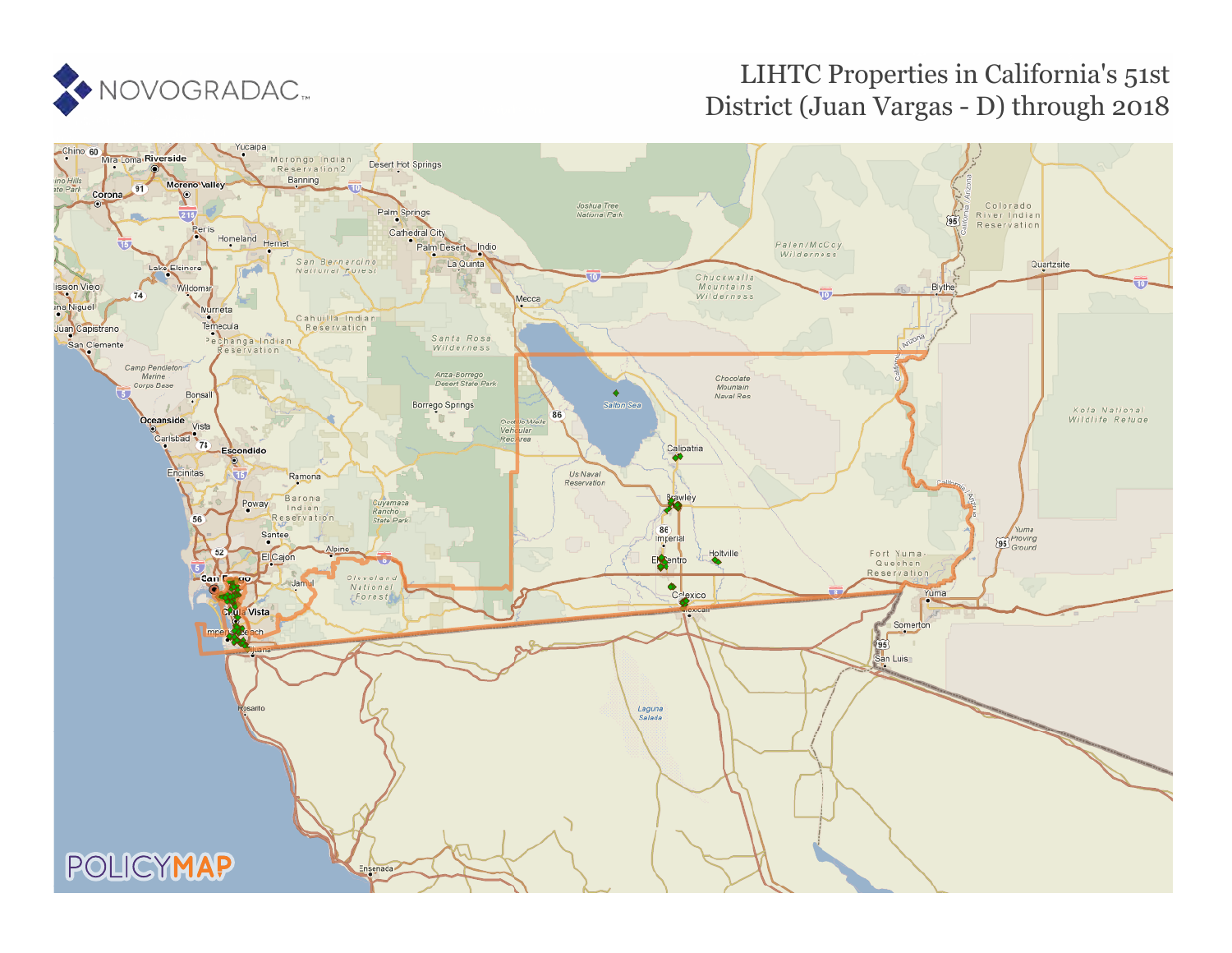

# LIHTC Properties in California's 51st District (Juan Vargas - D) through 2018

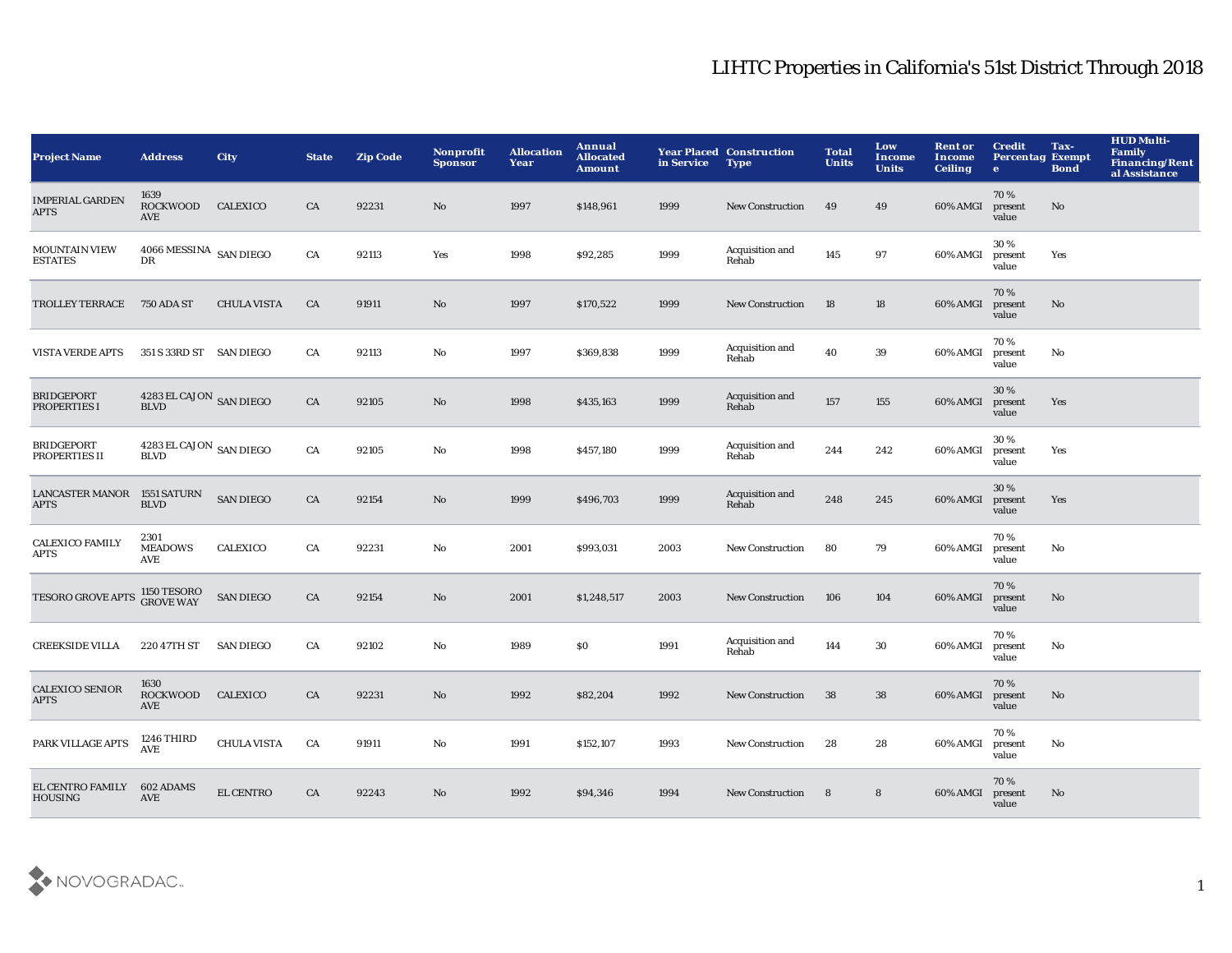| <b>Project Name</b>                        | <b>Address</b>                                       | City               | <b>State</b> | <b>Zip Code</b> | <b>Nonprofit</b><br><b>Sponsor</b> | <b>Allocation</b><br>Year | Annual<br><b>Allocated</b><br><b>Amount</b> | in Service | <b>Year Placed Construction</b><br><b>Type</b> | <b>Total</b><br><b>Units</b> | Low<br>Income<br><b>Units</b> | <b>Rent or</b><br>Income<br><b>Ceiling</b> | <b>Credit</b><br><b>Percentag Exempt</b><br>$\mathbf{e}$ | Tax-<br><b>Bond</b> | <b>HUD Multi-</b><br><b>Family</b><br><b>Financing/Rent</b><br>al Assistance |
|--------------------------------------------|------------------------------------------------------|--------------------|--------------|-----------------|------------------------------------|---------------------------|---------------------------------------------|------------|------------------------------------------------|------------------------------|-------------------------------|--------------------------------------------|----------------------------------------------------------|---------------------|------------------------------------------------------------------------------|
| <b>IMPERIAL GARDEN</b><br>APTS             | 1639<br><b>ROCKWOOD</b><br>AVE                       | CALEXICO           | CA           | 92231           | No                                 | 1997                      | \$148,961                                   | 1999       | <b>New Construction</b>                        | 49                           | 49                            | 60% AMGI                                   | 70%<br>present<br>value                                  | No                  |                                                                              |
| <b>MOUNTAIN VIEW</b><br><b>ESTATES</b>     | $4066\,{\rm MESSINA} \;$ SAN DIEGO<br>DR             |                    | CA           | 92113           | Yes                                | 1998                      | \$92,285                                    | 1999       | Acquisition and<br>Rehab                       | 145                          | 97                            | 60% AMGI                                   | 30%<br>present<br>value                                  | Yes                 |                                                                              |
| <b>TROLLEY TERRACE</b>                     | <b>750 ADA ST</b>                                    | <b>CHULA VISTA</b> | CA           | 91911           | No                                 | 1997                      | \$170,522                                   | 1999       | <b>New Construction</b>                        | 18                           | $18\,$                        | 60% AMGI                                   | 70%<br>present<br>value                                  | No                  |                                                                              |
| <b>VISTA VERDE APTS</b>                    | 351 S 33RD ST SAN DIEGO                              |                    | CA           | 92113           | No                                 | 1997                      | \$369,838                                   | 1999       | Acquisition and<br>Rehab                       | 40                           | 39                            | 60% AMGI                                   | 70%<br>present<br>value                                  | No                  |                                                                              |
| <b>BRIDGEPORT</b><br>PROPERTIES I          | $4283\, \rm EL$ CAJON $\,$ SAN DIEGO BLVD            |                    | CA           | 92105           | No                                 | 1998                      | \$435,163                                   | 1999       | Acquisition and<br>Rehab                       | 157                          | 155                           | 60% AMGI                                   | 30%<br>present<br>value                                  | Yes                 |                                                                              |
| <b>BRIDGEPORT</b><br>PROPERTIES II         | $4283\, \rm{EL}$ CAJON $\,$ SAN DIEGO<br><b>BLVD</b> |                    | CA           | 92105           | No                                 | 1998                      | \$457,180                                   | 1999       | Acquisition and<br>Rehab                       | 244                          | 242                           | 60% AMGI                                   | 30%<br>present<br>value                                  | Yes                 |                                                                              |
| LANCASTER MANOR 1551 SATURN<br><b>APTS</b> | <b>BLVD</b>                                          | <b>SAN DIEGO</b>   | CA           | 92154           | No                                 | 1999                      | \$496,703                                   | 1999       | Acquisition and<br>Rehab                       | 248                          | 245                           | 60% AMGI                                   | 30%<br>present<br>value                                  | Yes                 |                                                                              |
| <b>CALEXICO FAMILY</b><br>APTS             | 2301<br><b>MEADOWS</b><br>AVE                        | <b>CALEXICO</b>    | CA           | 92231           | No                                 | 2001                      | \$993,031                                   | 2003       | <b>New Construction</b>                        | 80                           | 79                            | 60% AMGI                                   | 70%<br>present<br>value                                  | No                  |                                                                              |
| <b>TESORO GROVE APTS</b>                   | 1150 TESORO<br>GROVE WAY                             | <b>SAN DIEGO</b>   | CA           | 92154           | No                                 | 2001                      | \$1,248,517                                 | 2003       | <b>New Construction</b>                        | 106                          | 104                           | 60% AMGI                                   | 70%<br>present<br>value                                  | No                  |                                                                              |
| <b>CREEKSIDE VILLA</b>                     | 220 47TH ST                                          | <b>SAN DIEGO</b>   | CA           | 92102           | $\mathbf{N}\mathbf{o}$             | 1989                      | S <sub>0</sub>                              | 1991       | Acquisition and<br>Rehab                       | 144                          | 30                            | 60% AMGI                                   | 70%<br>present<br>value                                  | No                  |                                                                              |
| <b>CALEXICO SENIOR</b><br>APTS             | 1630<br>ROCKWOOD<br>AVE                              | CALEXICO           | CA           | 92231           | No                                 | 1992                      | \$82,204                                    | 1992       | <b>New Construction</b>                        | 38                           | 38                            | 60% AMGI                                   | 70%<br>present<br>value                                  | No                  |                                                                              |
| PARK VILLAGE APTS                          | 1246 THIRD<br><b>AVE</b>                             | <b>CHULA VISTA</b> | CA           | 91911           | No                                 | 1991                      | \$152,107                                   | 1993       | <b>New Construction</b>                        | 28                           | 28                            | 60% AMGI                                   | 70%<br>present<br>value                                  | No                  |                                                                              |
| EL CENTRO FAMILY<br><b>HOUSING</b>         | 602 ADAMS<br>AVE                                     | <b>EL CENTRO</b>   | CA           | 92243           | N <sub>o</sub>                     | 1992                      | \$94,346                                    | 1994       | <b>New Construction</b>                        | 8                            | 8                             | 60% AMGI                                   | 70%<br>present<br>value                                  | No                  |                                                                              |

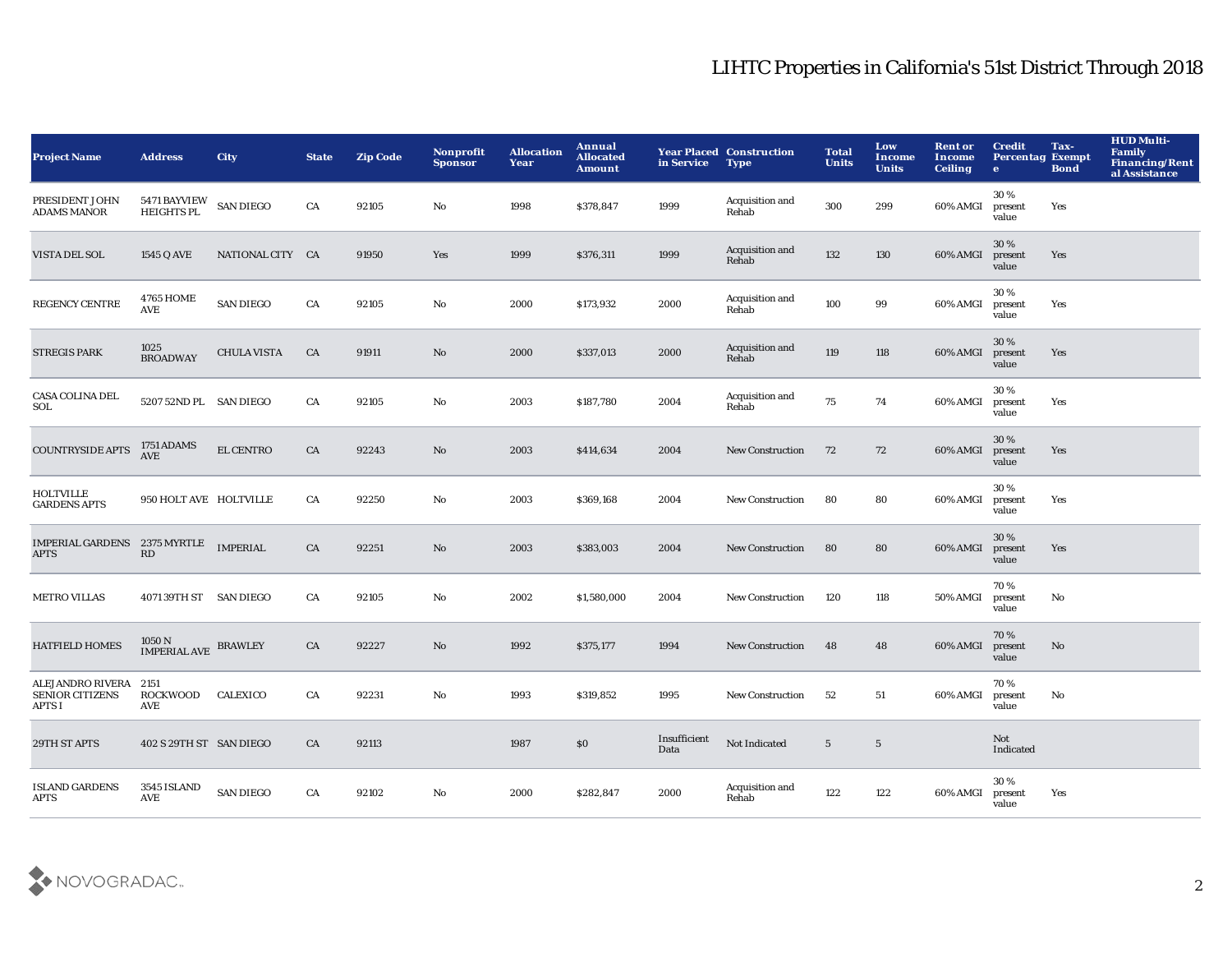| Project Name                                         | <b>Address</b>                       | <b>City</b>        | <b>State</b> | <b>Zip Code</b> | Nonprofit<br><b>Sponsor</b> | <b>Allocation</b><br>Year | Annual<br><b>Allocated</b><br><b>Amount</b> | in Service           | <b>Year Placed Construction</b><br><b>Type</b> | <b>Total</b><br><b>Units</b> | Low<br><b>Income</b><br><b>Units</b> | <b>Rent or</b><br>Income<br><b>Ceiling</b> | <b>Credit</b><br><b>Percentag Exempt</b><br>$\bullet$ | Tax-<br><b>Bond</b> | <b>HUD Multi-</b><br>Family<br><b>Financing/Rent</b><br>al Assistance |
|------------------------------------------------------|--------------------------------------|--------------------|--------------|-----------------|-----------------------------|---------------------------|---------------------------------------------|----------------------|------------------------------------------------|------------------------------|--------------------------------------|--------------------------------------------|-------------------------------------------------------|---------------------|-----------------------------------------------------------------------|
| PRESIDENT JOHN<br><b>ADAMS MANOR</b>                 | 5471 BAYVIEW SAN DIEGO<br>HEIGHTS PL |                    | CA           | 92105           | No                          | 1998                      | \$378,847                                   | 1999                 | Acquisition and<br>Rehab                       | 300                          | 299                                  | 60% AMGI                                   | 30%<br>present<br>value                               | Yes                 |                                                                       |
| VISTA DEL SOL                                        | 1545 Q AVE                           | NATIONAL CITY CA   |              | 91950           | Yes                         | 1999                      | \$376,311                                   | 1999                 | Acquisition and<br>Rehab                       | 132                          | 130                                  | 60% AMGI                                   | 30%<br>present<br>value                               | Yes                 |                                                                       |
| <b>REGENCY CENTRE</b>                                | <b>4765 HOME</b><br><b>AVE</b>       | <b>SAN DIEGO</b>   | CA           | 92105           | No                          | 2000                      | \$173,932                                   | 2000                 | Acquisition and<br>Rehab                       | 100                          | 99                                   | 60% AMGI                                   | 30%<br>present<br>value                               | Yes                 |                                                                       |
| <b>STREGIS PARK</b>                                  | 1025<br><b>BROADWAY</b>              | <b>CHULA VISTA</b> | CA           | 91911           | No                          | 2000                      | \$337,013                                   | 2000                 | Acquisition and<br>Rehab                       | 119                          | 118                                  | 60% AMGI                                   | 30 %<br>present<br>value                              | Yes                 |                                                                       |
| CASA COLINA DEL<br>SOL                               | 5207 52ND PL SAN DIEGO               |                    | CA           | 92105           | No                          | 2003                      | \$187,780                                   | 2004                 | Acquisition and<br>Rehab                       | 75                           | 74                                   | 60% AMGI                                   | 30%<br>present<br>value                               | Yes                 |                                                                       |
| COUNTRYSIDE APTS                                     | 1751 ADAMS<br>AVE                    | <b>EL CENTRO</b>   | ${\rm CA}$   | 92243           | No                          | 2003                      | \$414,634                                   | 2004                 | <b>New Construction</b>                        | 72                           | 72                                   | 60% AMGI                                   | 30%<br>present<br>value                               | Yes                 |                                                                       |
| <b>HOLTVILLE</b><br><b>GARDENS APTS</b>              | 950 HOLT AVE HOLTVILLE               |                    | CA           | 92250           | No                          | 2003                      | \$369,168                                   | 2004                 | <b>New Construction</b>                        | 80                           | 80                                   | 60% AMGI                                   | 30%<br>present<br>value                               | Yes                 |                                                                       |
| IMPERIAL GARDENS 2375 MYRTLE IMPERIAL<br>APTS        | RD                                   |                    | CA           | 92251           | No                          | 2003                      | \$383,003                                   | 2004                 | <b>New Construction</b>                        | 80                           | 80                                   | 60% AMGI                                   | 30%<br>present<br>value                               | Yes                 |                                                                       |
| <b>METRO VILLAS</b>                                  | 4071 39TH ST SAN DIEGO               |                    | CA           | 92105           | No                          | 2002                      | \$1,580,000                                 | 2004                 | <b>New Construction</b>                        | 120                          | 118                                  | 50% AMGI                                   | 70%<br>present<br>value                               | No                  |                                                                       |
| <b>HATFIELD HOMES</b>                                | 1050 N<br><b>IMPERIAL AVE</b>        | <b>BRAWLEY</b>     | CA           | 92227           | $\mathbf{N}\mathbf{o}$      | 1992                      | \$375,177                                   | 1994                 | <b>New Construction</b>                        | 48                           | 48                                   | 60% AMGI                                   | 70%<br>present<br>value                               | $\mathbf{No}$       |                                                                       |
| ALEJANDRO RIVERA<br><b>SENIOR CITIZENS</b><br>APTS I | 2151<br>ROCKWOOD<br>AVE              | CALEXICO           | CA           | 92231           | No                          | 1993                      | \$319,852                                   | 1995                 | <b>New Construction</b>                        | 52                           | 51                                   | 60% AMGI                                   | 70%<br>present<br>value                               | No                  |                                                                       |
| 29TH ST APTS                                         | 402 S 29TH ST SAN DIEGO              |                    | CA           | 92113           |                             | 1987                      | \$0                                         | Insufficient<br>Data | Not Indicated                                  | $5\phantom{.0}$              | $5\phantom{.0}$                      |                                            | Not<br>Indicated                                      |                     |                                                                       |
| <b>ISLAND GARDENS</b><br>APTS                        | 3545 ISLAND<br>AVE                   | <b>SAN DIEGO</b>   | CA           | 92102           | No                          | 2000                      | \$282,847                                   | 2000                 | Acquisition and<br>Rehab                       | 122                          | 122                                  | 60% AMGI                                   | 30%<br>present<br>value                               | Yes                 |                                                                       |

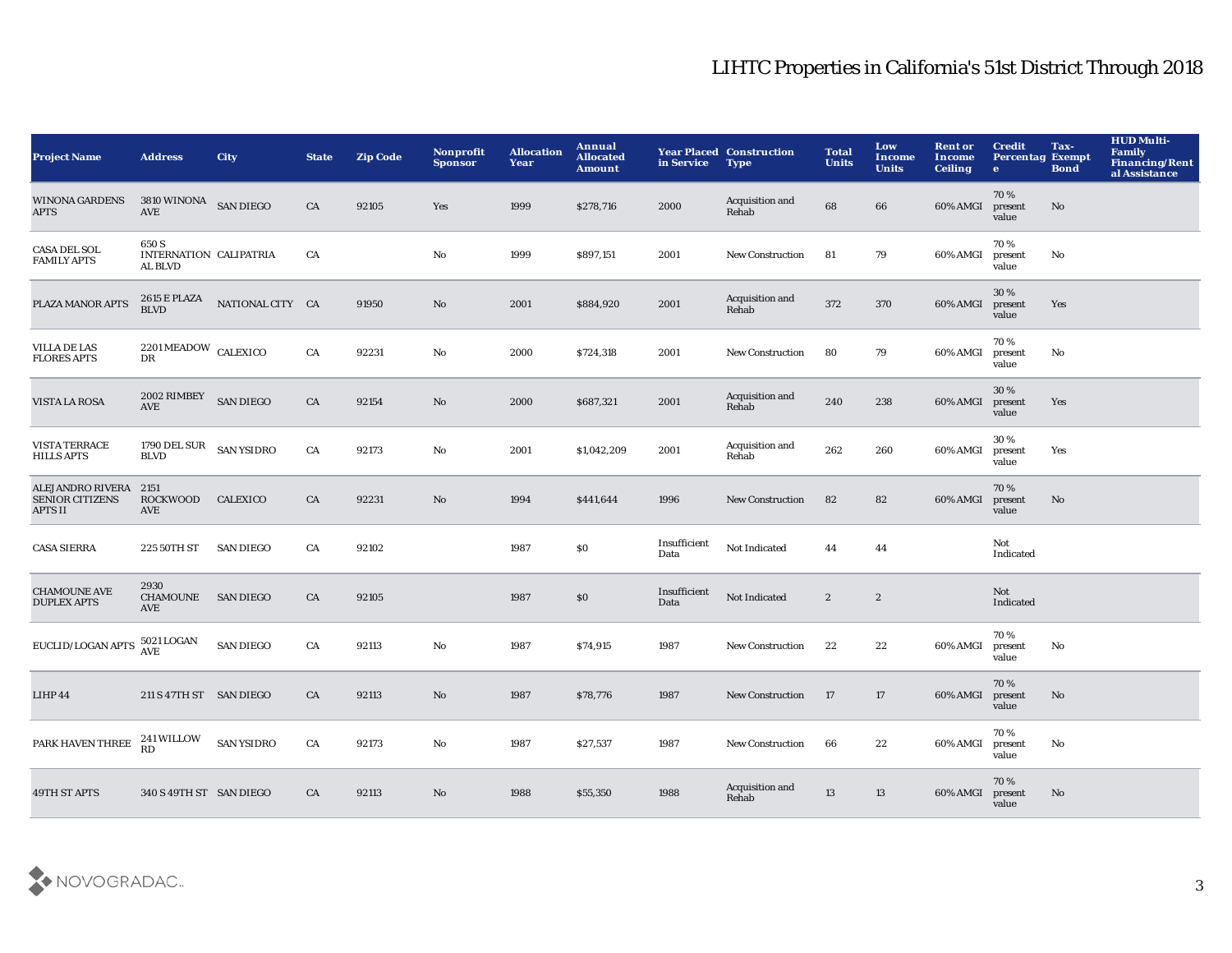| <b>Project Name</b>                                        | <b>Address</b>                                                              | City              | <b>State</b> | <b>Zip Code</b> | Nonprofit<br><b>Sponsor</b> | <b>Allocation</b><br>Year | Annual<br><b>Allocated</b><br>Amount | in Service           | <b>Year Placed Construction</b><br><b>Type</b> | <b>Total</b><br><b>Units</b> | Low<br>Income<br><b>Units</b> | <b>Rent or</b><br>Income<br><b>Ceiling</b> | <b>Credit</b><br><b>Percentag Exempt</b><br>$\bullet$ | Tax-<br><b>Bond</b> | <b>HUD Multi-</b><br><b>Family</b><br><b>Financing/Rent</b><br>al Assistance |
|------------------------------------------------------------|-----------------------------------------------------------------------------|-------------------|--------------|-----------------|-----------------------------|---------------------------|--------------------------------------|----------------------|------------------------------------------------|------------------------------|-------------------------------|--------------------------------------------|-------------------------------------------------------|---------------------|------------------------------------------------------------------------------|
| <b>WINONA GARDENS</b><br><b>APTS</b>                       | 3810 WINONA SAN DIEGO<br><b>AVE</b>                                         |                   | CA           | 92105           | Yes                         | 1999                      | \$278,716                            | 2000                 | Acquisition and<br>Rehab                       | 68                           | 66                            | 60% AMGI                                   | 70%<br>present<br>value                               | No                  |                                                                              |
| <b>CASA DEL SOL</b><br><b>FAMILY APTS</b>                  | 650 S<br>INTERNATION CALIPATRIA<br>AL BLVD                                  |                   | CA           |                 | No                          | 1999                      | \$897,151                            | 2001                 | New Construction                               | 81                           | 79                            | 60% AMGI                                   | 70%<br>present<br>value                               | No                  |                                                                              |
| PLAZA MANOR APTS                                           | 2615 E PLAZA<br>BLVD                                                        | NATIONAL CITY CA  |              | 91950           | $\mathbf{N}\mathbf{o}$      | 2001                      | \$884,920                            | 2001                 | Acquisition and<br>Rehab                       | 372                          | 370                           | 60% AMGI                                   | 30 %<br>present<br>value                              | Yes                 |                                                                              |
| <b>VILLA DE LAS</b><br><b>FLORES APTS</b>                  | $2201\,\mathrm{MEADOW}$ CALEXICO<br>DR                                      |                   | ${\rm CA}$   | 92231           | $\mathbf{No}$               | 2000                      | \$724,318                            | 2001                 | <b>New Construction</b>                        | 80                           | 79                            | 60% AMGI                                   | 70%<br>present<br>value                               | No                  |                                                                              |
| VISTA LA ROSA                                              | $2002$ $\texttt{RIMBEY}$ $\quad$ SAN DIEGO<br>$\operatorname{\mathbf{AVE}}$ |                   | CA           | 92154           | No                          | 2000                      | \$687,321                            | 2001                 | Acquisition and<br>Rehab                       | 240                          | 238                           | 60% AMGI                                   | 30%<br>present<br>value                               | Yes                 |                                                                              |
| VISTA TERRACE<br><b>HILLS APTS</b>                         | 1790 DEL SUR<br><b>BLVD</b>                                                 | <b>SAN YSIDRO</b> | CA           | 92173           | $\mathbf{No}$               | 2001                      | \$1,042,209                          | 2001                 | Acquisition and<br>Rehab                       | 262                          | 260                           | 60% AMGI                                   | 30%<br>present<br>value                               | Yes                 |                                                                              |
| ALEJANDRO RIVERA 2151<br><b>SENIOR CITIZENS</b><br>APTS II | <b>ROCKWOOD</b><br>AVE                                                      | CALEXICO          | CA           | 92231           | No                          | 1994                      | \$441,644                            | 1996                 | New Construction                               | 82                           | 82                            | 60% AMGI                                   | 70%<br>present<br>value                               | No                  |                                                                              |
| <b>CASA SIERRA</b>                                         | 225 50TH ST                                                                 | <b>SAN DIEGO</b>  | CA           | 92102           |                             | 1987                      | \$0                                  | Insufficient<br>Data | Not Indicated                                  | 44                           | 44                            |                                            | Not<br>Indicated                                      |                     |                                                                              |
| <b>CHAMOUNE AVE</b><br><b>DUPLEX APTS</b>                  | 2930<br>CHAMOUNE<br>AVE                                                     | <b>SAN DIEGO</b>  | CA           | 92105           |                             | 1987                      | $\$0$                                | Insufficient<br>Data | Not Indicated                                  | $\boldsymbol{2}$             | $\boldsymbol{2}$              |                                            | Not<br>Indicated                                      |                     |                                                                              |
| EUCLID/LOGAN APTS                                          | 5021 LOGAN<br>AVE                                                           | <b>SAN DIEGO</b>  | CA           | 92113           | $\mathbf{No}$               | 1987                      | \$74,915                             | 1987                 | New Construction                               | 22                           | 22                            | 60% AMGI                                   | 70%<br>present<br>value                               | No                  |                                                                              |
| LIHP 44                                                    | 211 S 47TH ST SAN DIEGO                                                     |                   | CA           | 92113           | No                          | 1987                      | \$78,776                             | 1987                 | <b>New Construction</b>                        | 17                           | 17                            | 60% AMGI                                   | 70%<br>present<br>value                               | No                  |                                                                              |
| PARK HAVEN THREE                                           | 241 WILLOW<br>RD                                                            | <b>SAN YSIDRO</b> | CA           | 92173           | No                          | 1987                      | \$27,537                             | 1987                 | <b>New Construction</b>                        | 66                           | 22                            | 60% AMGI                                   | 70%<br>present<br>value                               | No                  |                                                                              |
| <b>49TH ST APTS</b>                                        | 340 S 49TH ST SAN DIEGO                                                     |                   | CA           | 92113           | No                          | 1988                      | \$55,350                             | 1988                 | Acquisition and<br>Rehab                       | 13                           | 13                            | 60% AMGI                                   | 70%<br>present<br>value                               | No                  |                                                                              |

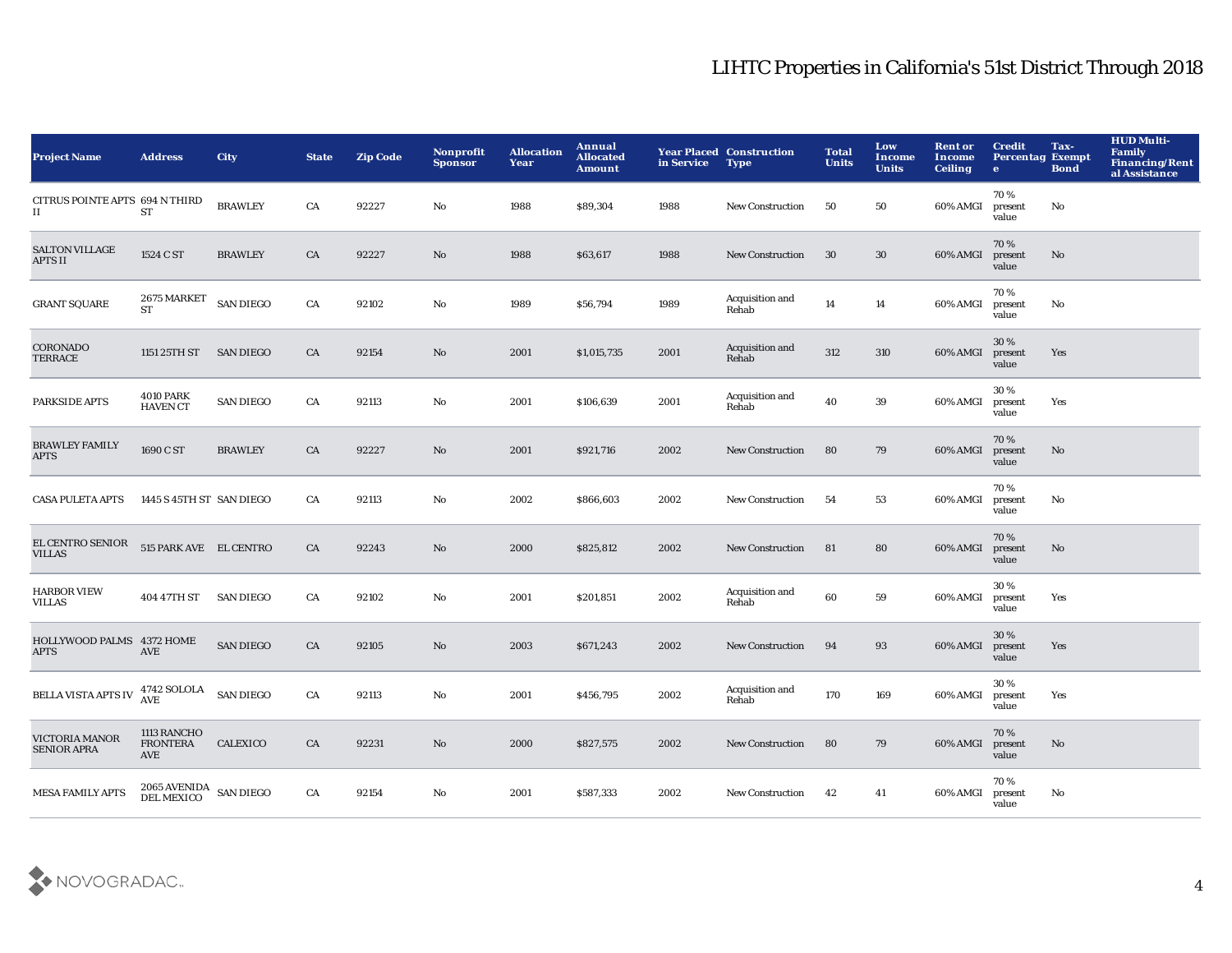| <b>Project Name</b>                      | <b>Address</b>                                | <b>City</b>      | <b>State</b> | <b>Zip Code</b> | Nonprofit<br><b>Sponsor</b> | <b>Allocation</b><br>Year | Annual<br><b>Allocated</b><br><b>Amount</b> | in Service | <b>Year Placed Construction</b><br><b>Type</b> | <b>Total</b><br><b>Units</b> | Low<br>Income<br><b>Units</b> | <b>Rent or</b><br>Income<br><b>Ceiling</b> | <b>Credit</b><br><b>Percentag Exempt</b><br>$\bullet$ | Tax-<br><b>Bond</b> | HUD Multi-<br><b>Family</b><br><b>Financing/Rent</b><br>al Assistance |
|------------------------------------------|-----------------------------------------------|------------------|--------------|-----------------|-----------------------------|---------------------------|---------------------------------------------|------------|------------------------------------------------|------------------------------|-------------------------------|--------------------------------------------|-------------------------------------------------------|---------------------|-----------------------------------------------------------------------|
| CITRUS POINTE APTS 694 N THIRD<br>П.     | ${\cal S}{\cal T}$                            | <b>BRAWLEY</b>   | CA           | 92227           | No                          | 1988                      | \$89,304                                    | 1988       | <b>New Construction</b>                        | 50                           | 50                            | 60% AMGI                                   | 70%<br>present<br>value                               | No                  |                                                                       |
| <b>SALTON VILLAGE</b><br><b>APTS II</b>  | 1524 C ST                                     | <b>BRAWLEY</b>   | CA           | 92227           | No                          | 1988                      | \$63,617                                    | 1988       | <b>New Construction</b>                        | 30                           | 30                            | 60% AMGI                                   | 70%<br>present<br>value                               | No                  |                                                                       |
| <b>GRANT SQUARE</b>                      | 2675 MARKET<br><b>ST</b>                      | <b>SAN DIEGO</b> | CA           | 92102           | $\mathbf{N}\mathbf{o}$      | 1989                      | \$56,794                                    | 1989       | Acquisition and<br>Rehab                       | 14                           | 14                            | 60% AMGI                                   | 70%<br>present<br>value                               | No                  |                                                                       |
| CORONADO<br>TERRACE                      | 1151 25TH ST                                  | <b>SAN DIEGO</b> | CA           | 92154           | No                          | 2001                      | \$1,015,735                                 | 2001       | Acquisition and<br>Rehab                       | 312                          | 310                           | 60% AMGI                                   | 30%<br>present<br>value                               | Yes                 |                                                                       |
| PARKSIDE APTS                            | <b>4010 PARK</b><br><b>HAVEN CT</b>           | <b>SAN DIEGO</b> | CA           | 92113           | No                          | 2001                      | \$106,639                                   | 2001       | Acquisition and<br>Rehab                       | 40                           | 39                            | 60% AMGI                                   | 30%<br>present<br>value                               | Yes                 |                                                                       |
| <b>BRAWLEY FAMILY</b><br><b>APTS</b>     | 1690 C ST                                     | <b>BRAWLEY</b>   | CA           | 92227           | No                          | 2001                      | \$921,716                                   | 2002       | <b>New Construction</b>                        | 80                           | 79                            | 60% AMGI                                   | 70%<br>present<br>value                               | No                  |                                                                       |
| <b>CASA PULETA APTS</b>                  | 1445 S 45TH ST SAN DIEGO                      |                  | CA           | 92113           | No                          | 2002                      | \$866,603                                   | 2002       | <b>New Construction</b>                        | 54                           | 53                            | 60% AMGI                                   | 70%<br>present<br>value                               | No                  |                                                                       |
| EL CENTRO SENIOR<br><b>VILLAS</b>        | 515 PARK AVE EL CENTRO                        |                  | CA           | 92243           | No                          | 2000                      | \$825,812                                   | 2002       | New Construction                               | 81                           | 80                            | 60% AMGI                                   | 70%<br>present<br>value                               | No                  |                                                                       |
| <b>HARBOR VIEW</b><br><b>VILLAS</b>      | 404 47TH ST                                   | <b>SAN DIEGO</b> | CA           | 92102           | No                          | 2001                      | \$201,851                                   | 2002       | Acquisition and<br>Rehab                       | 60                           | 59                            | 60% AMGI                                   | 30%<br>present<br>value                               | Yes                 |                                                                       |
| HOLLYWOOD PALMS 4372 HOME<br><b>APTS</b> | <b>AVE</b>                                    | <b>SAN DIEGO</b> | CA           | 92105           | No                          | 2003                      | \$671,243                                   | 2002       | <b>New Construction</b>                        | 94                           | 93                            | 60% AMGI                                   | 30%<br>present<br>value                               | Yes                 |                                                                       |
| <b>BELLA VISTA APTS IV</b>               | 4742 SOLOLA<br>AVE                            | <b>SAN DIEGO</b> | CA           | 92113           | No                          | 2001                      | \$456,795                                   | 2002       | Acquisition and<br>Rehab                       | 170                          | 169                           | 60% AMGI                                   | 30%<br>present<br>value                               | Yes                 |                                                                       |
| VICTORIA MANOR<br><b>SENIOR APRA</b>     | 1113 RANCHO<br><b>FRONTERA</b><br>AVE         | <b>CALEXICO</b>  | CA           | 92231           | No                          | 2000                      | \$827,575                                   | 2002       | <b>New Construction</b>                        | 80                           | 79                            | 60% AMGI                                   | 70%<br>present<br>value                               | No                  |                                                                       |
| <b>MESA FAMILY APTS</b>                  | $2065\,\mathrm{AVENIDA}$ SAN DIEGO DEL MEXICO |                  | CA           | 92154           | No                          | 2001                      | \$587,333                                   | 2002       | <b>New Construction</b>                        | 42                           | 41                            | 60% AMGI                                   | 70%<br>present<br>value                               | No                  |                                                                       |

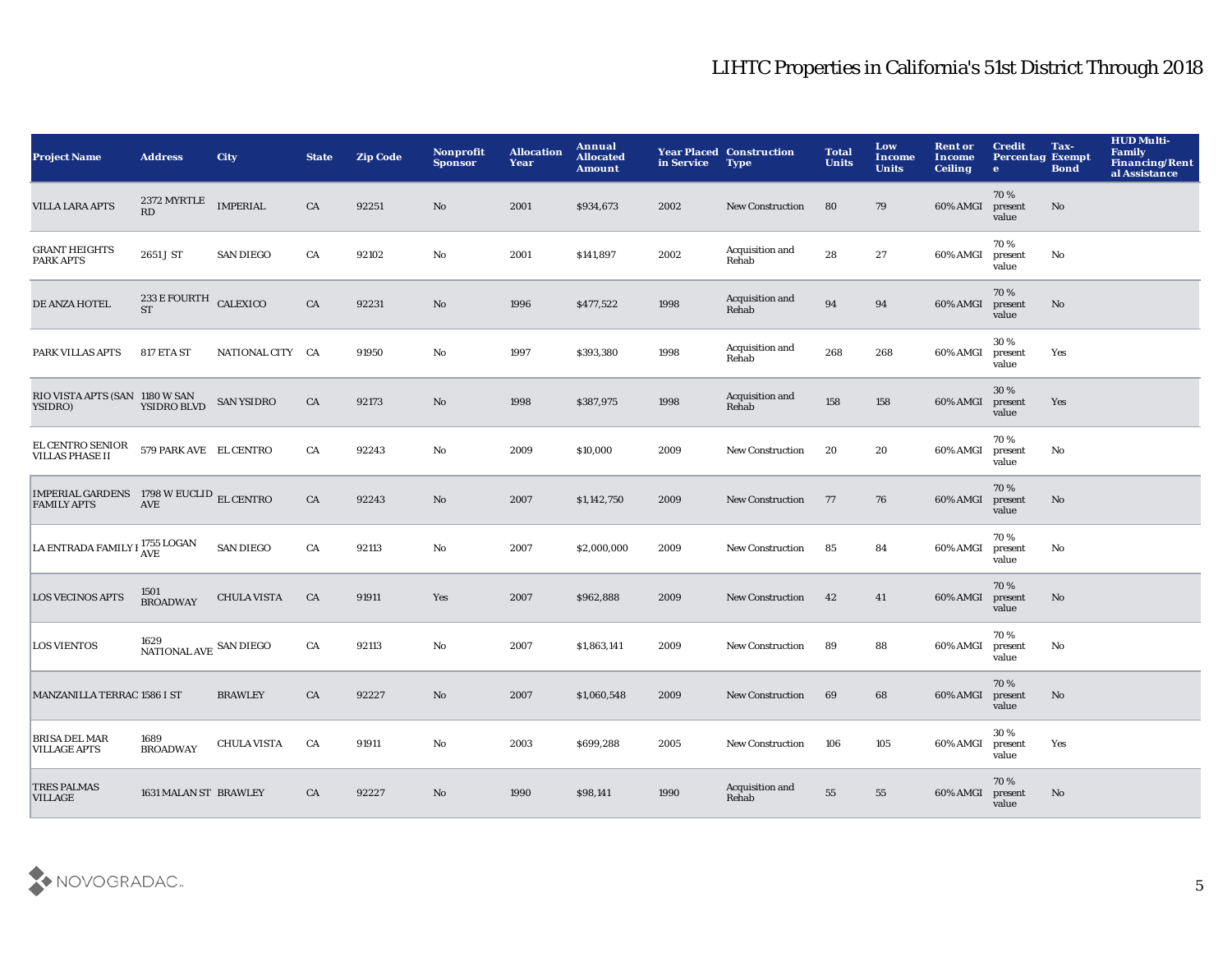| <b>Project Name</b>                                               | <b>Address</b>                                 | <b>City</b>        | <b>State</b> | <b>Zip Code</b> | <b>Nonprofit</b><br><b>Sponsor</b> | <b>Allocation</b><br>Year | Annual<br><b>Allocated</b><br><b>Amount</b> | in Service | <b>Year Placed Construction</b><br><b>Type</b> | <b>Total</b><br><b>Units</b> | Low<br><b>Income</b><br><b>Units</b> | <b>Rent or</b><br><b>Income</b><br><b>Ceiling</b> | <b>Credit</b><br><b>Percentag Exempt</b><br>$\bullet$ | Tax-<br><b>Bond</b> | <b>HUD Multi-</b><br>Family<br><b>Financing/Rent</b><br>al Assistance |
|-------------------------------------------------------------------|------------------------------------------------|--------------------|--------------|-----------------|------------------------------------|---------------------------|---------------------------------------------|------------|------------------------------------------------|------------------------------|--------------------------------------|---------------------------------------------------|-------------------------------------------------------|---------------------|-----------------------------------------------------------------------|
| <b>VILLA LARA APTS</b>                                            | 2372 MYRTLE<br>RD                              | <b>IMPERIAL</b>    | CA           | 92251           | No                                 | 2001                      | \$934,673                                   | 2002       | <b>New Construction</b>                        | 80                           | 79                                   | 60% AMGI                                          | 70%<br>present<br>value                               | No                  |                                                                       |
| <b>GRANT HEIGHTS</b><br><b>PARK APTS</b>                          | 2651 J ST                                      | <b>SAN DIEGO</b>   | CA           | 92102           | $\mathbf{N}\mathbf{o}$             | 2001                      | \$141,897                                   | 2002       | Acquisition and<br>Rehab                       | 28                           | 27                                   | 60% AMGI                                          | 70%<br>present<br>value                               | No                  |                                                                       |
| DE ANZA HOTEL                                                     | $233\,\mathrm{E}\,\mathrm{FOURTH}$ CALEXICO ST |                    | CA           | 92231           | No                                 | 1996                      | \$477,522                                   | 1998       | Acquisition and<br>Rehab                       | 94                           | 94                                   | 60% AMGI                                          | 70%<br>present<br>value                               | No                  |                                                                       |
| PARK VILLAS APTS                                                  | 817 ETA ST                                     | NATIONAL CITY CA   |              | 91950           | No                                 | 1997                      | \$393,380                                   | 1998       | Acquisition and<br>Rehab                       | 268                          | 268                                  | 60% AMGI                                          | 30%<br>present<br>value                               | Yes                 |                                                                       |
| RIO VISTA APTS (SAN 1180 W SAN<br>YSIDRO)                         | YSIDRO BLVD                                    | <b>SAN YSIDRO</b>  | CA           | 92173           | $\mathbf{N}\mathbf{o}$             | 1998                      | \$387,975                                   | 1998       | Acquisition and<br>Rehab                       | 158                          | 158                                  | 60% AMGI                                          | 30%<br>present<br>value                               | Yes                 |                                                                       |
| EL CENTRO SENIOR 579 PARK AVE EL CENTRO<br><b>VILLAS PHASE II</b> |                                                |                    | ${\rm CA}$   | 92243           | $\mathbf{N}\mathbf{o}$             | 2009                      | \$10,000                                    | 2009       | <b>New Construction</b>                        | 20                           | 20                                   | 60% AMGI                                          | 70%<br>present<br>value                               | No                  |                                                                       |
| IMPERIAL GARDENS 1798 W EUCLID EL CENTRO<br><b>FAMILY APTS</b>    | <b>AVE</b>                                     |                    | CA           | 92243           | No                                 | 2007                      | \$1,142,750                                 | 2009       | <b>New Construction</b>                        | 77                           | 76                                   | 60% AMGI                                          | 70%<br>present<br>value                               | No                  |                                                                       |
| LA ENTRADA FAMILY I <sup>1755</sup> LOGAN                         |                                                | <b>SAN DIEGO</b>   | CA           | 92113           | $\mathbf{N}\mathbf{o}$             | 2007                      | \$2,000,000                                 | 2009       | <b>New Construction</b>                        | 85                           | 84                                   | 60% AMGI                                          | 70%<br>present<br>value                               | No                  |                                                                       |
| <b>LOS VECINOS APTS</b>                                           | 1501<br><b>BROADWAY</b>                        | <b>CHULA VISTA</b> | CA           | 91911           | Yes                                | 2007                      | \$962,888                                   | 2009       | <b>New Construction</b>                        | 42                           | 41                                   | 60% AMGI                                          | 70%<br>present<br>value                               | No                  |                                                                       |
| <b>LOS VIENTOS</b>                                                | $1629$ NATIONAL AVE $\,$ SAN DIEGO $\,$        |                    | ${\rm CA}$   | 92113           | No                                 | 2007                      | \$1,863,141                                 | 2009       | <b>New Construction</b>                        | 89                           | 88                                   | 60% AMGI                                          | 70%<br>present<br>value                               | No                  |                                                                       |
| MANZANILLA TERRAC 1586 I ST                                       |                                                | <b>BRAWLEY</b>     | CA           | 92227           | No                                 | 2007                      | \$1,060,548                                 | 2009       | <b>New Construction</b>                        | 69                           | 68                                   | 60% AMGI                                          | 70%<br>present<br>value                               | No                  |                                                                       |
| <b>BRISA DEL MAR</b><br><b>VILLAGE APTS</b>                       | 1689<br><b>BROADWAY</b>                        | <b>CHULA VISTA</b> | CA           | 91911           | $\mathbf{N}\mathbf{o}$             | 2003                      | \$699,288                                   | 2005       | <b>New Construction</b>                        | 106                          | 105                                  | 60% AMGI                                          | 30%<br>present<br>value                               | Yes                 |                                                                       |
| <b>TRES PALMAS</b><br><b>VILLAGE</b>                              | 1631 MALAN ST BRAWLEY                          |                    | CA           | 92227           | No                                 | 1990                      | \$98,141                                    | 1990       | Acquisition and<br>Rehab                       | 55                           | 55                                   | 60% AMGI                                          | 70%<br>present<br>value                               | No                  |                                                                       |
|                                                                   |                                                |                    |              |                 |                                    |                           |                                             |            |                                                |                              |                                      |                                                   |                                                       |                     |                                                                       |

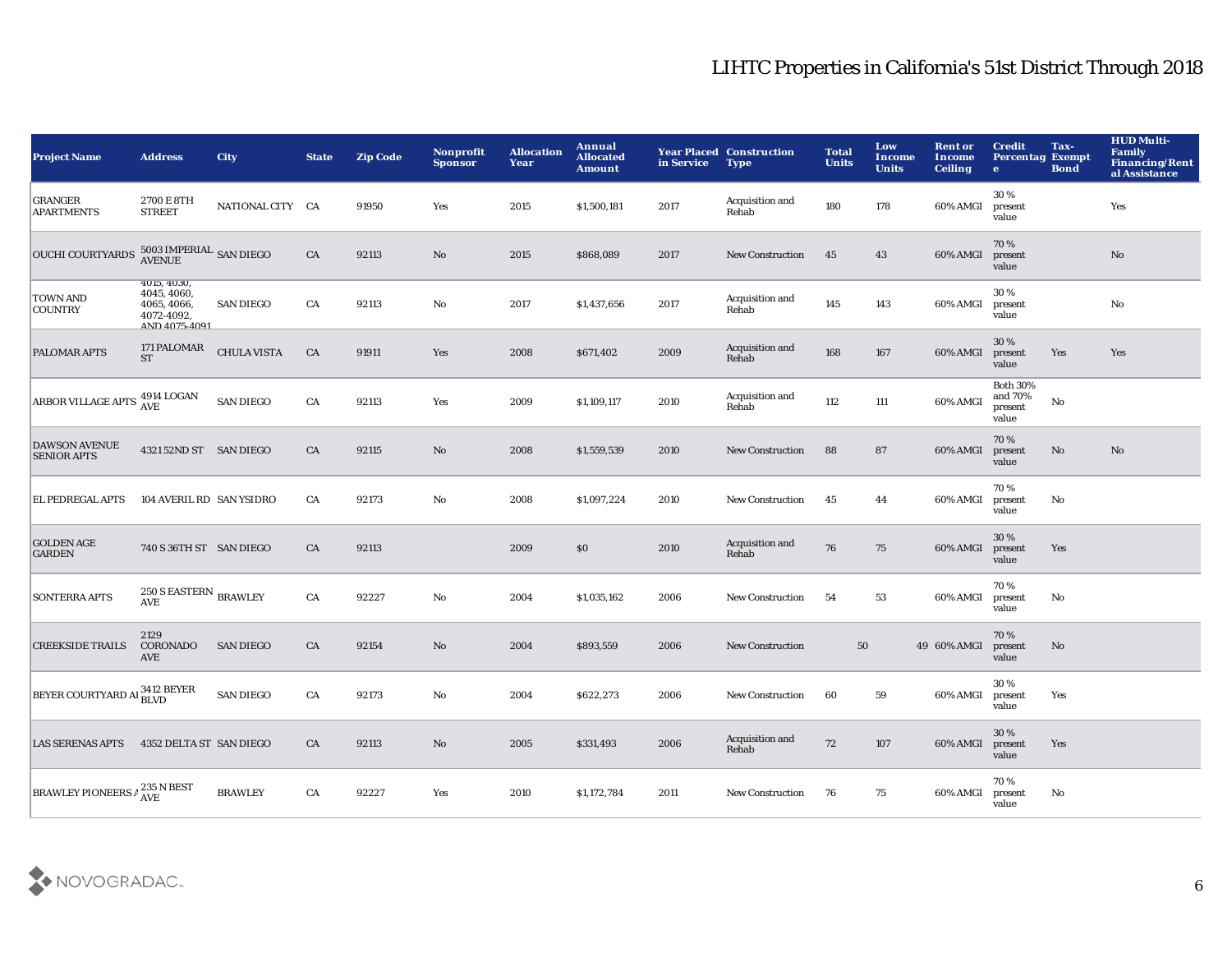| <b>Project Name</b>                          | <b>Address</b>                                                                   | <b>City</b>        | <b>State</b> | <b>Zip Code</b> | Nonprofit<br><b>Sponsor</b> | <b>Allocation</b><br>Year | Annual<br><b>Allocated</b><br><b>Amount</b> | in Service | <b>Year Placed Construction</b><br><b>Type</b> | <b>Total</b><br><b>Units</b> | Low<br>Income<br><b>Units</b> | <b>Rent or</b><br><b>Income</b><br><b>Ceiling</b> | <b>Credit</b><br><b>Percentag Exempt</b><br>$\bullet$ | Tax-<br><b>Bond</b> | <b>HUD Multi-</b><br><b>Family</b><br><b>Financing/Rent</b><br>al Assistance |
|----------------------------------------------|----------------------------------------------------------------------------------|--------------------|--------------|-----------------|-----------------------------|---------------------------|---------------------------------------------|------------|------------------------------------------------|------------------------------|-------------------------------|---------------------------------------------------|-------------------------------------------------------|---------------------|------------------------------------------------------------------------------|
| <b>GRANGER</b><br><b>APARTMENTS</b>          | 2700 E 8TH<br><b>STREET</b>                                                      | NATIONAL CITY CA   |              | 91950           | Yes                         | 2015                      | \$1,500,181                                 | 2017       | Acquisition and<br>Rehab                       | 180                          | 178                           | 60% AMGI                                          | 30%<br>present<br>value                               |                     | Yes                                                                          |
| <b>OUCHI COURTYARDS</b>                      | $5003\,\mathrm{IMPERIAL}$ SAN DIEGO AVENUE                                       |                    | ${\rm CA}$   | 92113           | $\mathbf {No}$              | 2015                      | \$868,089                                   | 2017       | New Construction                               | 45                           | 43                            | 60% AMGI                                          | 70%<br>present<br>value                               |                     | No                                                                           |
| <b>TOWN AND</b><br><b>COUNTRY</b>            | 4015, 4030,<br>4045, 4060,<br>4065, 4066,<br>4072-4092.<br>AND 4075-4091         | <b>SAN DIEGO</b>   | CA           | 92113           | $\mathbf{No}$               | 2017                      | \$1,437,656                                 | 2017       | Acquisition and<br>Rehab                       | 145                          | 143                           | 60% AMGI                                          | 30%<br>present<br>value                               |                     | $_{\rm No}$                                                                  |
| <b>PALOMAR APTS</b>                          | 171 PALOMAR<br><b>ST</b>                                                         | <b>CHULA VISTA</b> | CA           | 91911           | Yes                         | 2008                      | \$671,402                                   | 2009       | Acquisition and<br>Rehab                       | 168                          | 167                           | 60% AMGI                                          | 30 %<br>present<br>value                              | Yes                 | Yes                                                                          |
| ARBOR VILLAGE APTS $_{\rm AVE}^{4914}$ LOGAN |                                                                                  | <b>SAN DIEGO</b>   | ${\rm CA}$   | 92113           | Yes                         | 2009                      | \$1,109,117                                 | 2010       | Acquisition and<br>Rehab                       | 112                          | 111                           | 60% AMGI                                          | <b>Both 30%</b><br>and 70%<br>present<br>value        | $\mathbf {No}$      |                                                                              |
| <b>DAWSON AVENUE</b><br><b>SENIOR APTS</b>   | 4321 52ND ST SAN DIEGO                                                           |                    | CA           | 92115           | $\mathbf{N}\mathbf{o}$      | 2008                      | \$1,559,539                                 | 2010       | <b>New Construction</b>                        | 88                           | 87                            | 60% AMGI                                          | 70%<br>present<br>value                               | $\mathbf{No}$       | $\mathbf{N}\mathbf{o}$                                                       |
| EL PEDREGAL APTS                             | 104 AVERIL RD SAN YSIDRO                                                         |                    | CA           | 92173           | No                          | 2008                      | \$1,097,224                                 | 2010       | <b>New Construction</b>                        | 45                           | 44                            | 60% AMGI                                          | 70%<br>present<br>value                               | No                  |                                                                              |
| <b>GOLDEN AGE</b><br><b>GARDEN</b>           | 740 S 36TH ST SAN DIEGO                                                          |                    | CA           | 92113           |                             | 2009                      | \$0\$                                       | 2010       | Acquisition and<br>Rehab                       | 76                           | 75                            | 60% AMGI                                          | 30%<br>present<br>value                               | Yes                 |                                                                              |
| <b>SONTERRA APTS</b>                         | $250\,\mathrm{S}$ EASTERN $_{\mathrm{BRAWLEY}}$<br>$\operatorname{\mathbf{AVE}}$ |                    | ${\rm CA}$   | 92227           | $\mathbf{No}$               | 2004                      | \$1,035,162                                 | 2006       | <b>New Construction</b>                        | 54                           | 53                            | 60% AMGI                                          | 70%<br>present<br>value                               | No                  |                                                                              |
| <b>CREEKSIDE TRAILS</b>                      | 2129<br>CORONADO<br>AVE                                                          | <b>SAN DIEGO</b>   | CA           | 92154           | No                          | 2004                      | \$893,559                                   | 2006       | <b>New Construction</b>                        | 50                           |                               | 49 60% AMGI                                       | 70%<br>present<br>value                               | $\mathbf{No}$       |                                                                              |
| BEYER COURTYARD AI $^{3412}_{\rm BLVD}$      |                                                                                  | <b>SAN DIEGO</b>   | CA           | 92173           | $\mathbf{No}$               | 2004                      | \$622,273                                   | 2006       | <b>New Construction</b>                        | 60                           | 59                            | 60% AMGI                                          | 30%<br>present<br>value                               | Yes                 |                                                                              |
| <b>LAS SERENAS APTS</b>                      | 4352 DELTA ST SAN DIEGO                                                          |                    | CA           | 92113           | No                          | 2005                      | \$331,493                                   | 2006       | Acquisition and<br>Rehab                       | 72                           | 107                           | 60% AMGI                                          | 30 %<br>present<br>value                              | Yes                 |                                                                              |
| <b>BRAWLEY PIONEERS A</b>                    | 235 N BEST<br><b>AVE</b>                                                         | <b>BRAWLEY</b>     | CA           | 92227           | Yes                         | 2010                      | \$1,172,784                                 | 2011       | <b>New Construction</b>                        | 76                           | 75                            | 60% AMGI                                          | 70%<br>present<br>value                               | No                  |                                                                              |

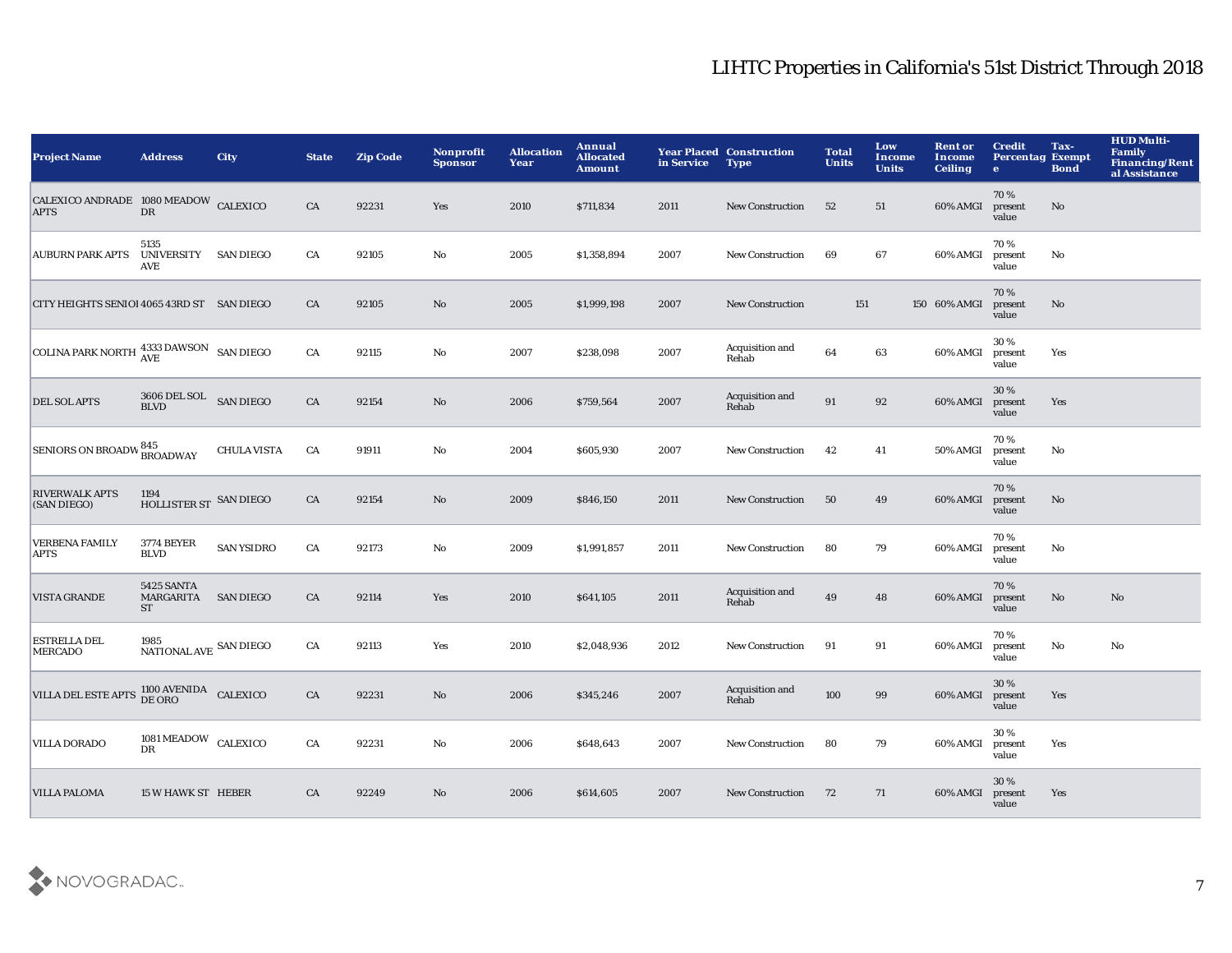| <b>Project Name</b>                                  | <b>Address</b>                                     | <b>City</b>        | <b>State</b> | <b>Zip Code</b> | Nonprofit<br><b>Sponsor</b> | <b>Allocation</b><br>Year | Annual<br><b>Allocated</b><br><b>Amount</b> | in Service | <b>Year Placed Construction</b><br><b>Type</b> | <b>Total</b><br><b>Units</b> | Low<br><b>Income</b><br><b>Units</b> | <b>Rent or</b><br>Income<br><b>Ceiling</b> | <b>Credit</b><br><b>Percentag Exempt</b><br>$\bullet$ | Tax-<br><b>Bond</b>    | <b>HUD Multi-</b><br><b>Family</b><br><b>Financing/Rent</b><br>al Assistance |
|------------------------------------------------------|----------------------------------------------------|--------------------|--------------|-----------------|-----------------------------|---------------------------|---------------------------------------------|------------|------------------------------------------------|------------------------------|--------------------------------------|--------------------------------------------|-------------------------------------------------------|------------------------|------------------------------------------------------------------------------|
| CALEXICO ANDRADE 1080 MEADOW CALEXICO<br><b>APTS</b> | DR                                                 |                    | CA           | 92231           | Yes                         | 2010                      | \$711,834                                   | 2011       | <b>New Construction</b>                        | 52                           | 51                                   | 60% AMGI                                   | 70%<br>present<br>value                               | No                     |                                                                              |
| AUBURN PARK APTS                                     | 5135<br>UNIVERSITY SAN DIEGO<br><b>AVE</b>         |                    | CA           | 92105           | $\mathbf {No}$              | 2005                      | \$1,358,894                                 | 2007       | New Construction                               | 69                           | 67                                   | 60% AMGI                                   | 70%<br>present<br>value                               | $\mathbf{N}\mathbf{o}$ |                                                                              |
| CITY HEIGHTS SENIOI 4065 43RD ST SAN DIEGO           |                                                    |                    | ${\rm CA}$   | 92105           | $\mathbf{No}$               | 2005                      | \$1,999,198                                 | 2007       | <b>New Construction</b>                        | 151                          |                                      | 150 60% AMGI                               | 70%<br>present<br>value                               | No                     |                                                                              |
| COLINA PARK NORTH $^{4333}_{AVE}$ DAWSON SAN DIEGO   |                                                    |                    | ${\rm CA}$   | 92115           | No                          | 2007                      | \$238,098                                   | 2007       | Acquisition and<br>Rehab                       | 64                           | 63                                   | 60% AMGI                                   | 30%<br>present<br>value                               | Yes                    |                                                                              |
| <b>DEL SOL APTS</b>                                  | $3606$ DEL SOL $$\sf{SAN}\:\sf{DIEGO}$$            |                    | CA           | 92154           | No                          | 2006                      | \$759,564                                   | 2007       | Acquisition and<br>Rehab                       | 91                           | 92                                   | 60% AMGI                                   | 30%<br>present<br>value                               | Yes                    |                                                                              |
| SENIORS ON BROADW 845<br>BROADWAY                    |                                                    | <b>CHULA VISTA</b> | CA           | 91911           | No                          | 2004                      | \$605,930                                   | 2007       | <b>New Construction</b>                        | 42                           | 41                                   | 50% AMGI                                   | 70%<br>present<br>value                               | No                     |                                                                              |
| <b>RIVERWALK APTS</b><br>(SAN DIEGO)                 | 1194<br>HOLLISTER ST SAN DIEGO                     |                    | CA           | 92154           | $\mathbf{No}$               | 2009                      | \$846,150                                   | 2011       | <b>New Construction</b>                        | 50                           | 49                                   | 60% AMGI                                   | 70%<br>present<br>value                               | No                     |                                                                              |
| <b>VERBENA FAMILY</b><br>APTS                        | <b>3774 BEYER</b><br><b>BLVD</b>                   | <b>SAN YSIDRO</b>  | CA           | 92173           | No                          | 2009                      | \$1,991,857                                 | 2011       | New Construction                               | 80                           | 79                                   | 60% AMGI                                   | 70%<br>present<br>value                               | No                     |                                                                              |
| VISTA GRANDE                                         | 5425 SANTA<br>MARGARITA<br><b>ST</b>               | <b>SAN DIEGO</b>   | CA           | 92114           | Yes                         | 2010                      | \$641,105                                   | 2011       | Acquisition and<br>Rehab                       | 49                           | 48                                   | 60% AMGI                                   | 70%<br>present<br>value                               | $\mathbf{N}\mathbf{o}$ | $\mathbf{N}\mathbf{o}$                                                       |
| <b>ESTRELLA DEL</b><br><b>MERCADO</b>                | 1985<br>NATIONAL AVE $\,$ SAN DIEGO $\,$           |                    | CA           | 92113           | Yes                         | 2010                      | \$2,048,936                                 | 2012       | <b>New Construction</b>                        | 91                           | 91                                   | 60% AMGI                                   | 70%<br>present<br>value                               | No                     | No                                                                           |
| VILLA DEL ESTE APTS 1100 AVENIDA CALEXICO            |                                                    |                    | CA           | 92231           | $\mathbf{No}$               | 2006                      | \$345,246                                   | 2007       | Acquisition and<br>Rehab                       | 100                          | 99                                   | 60% AMGI                                   | 30%<br>present<br>value                               | Yes                    |                                                                              |
| <b>VILLA DORADO</b>                                  | $1081\,\mathrm{MEADOW}$ $\,$ CALEXICO<br><b>DR</b> |                    | ${\rm CA}$   | 92231           | No                          | 2006                      | \$648,643                                   | 2007       | <b>New Construction</b>                        | 80                           | 79                                   | 60% AMGI                                   | 30%<br>present<br>value                               | Yes                    |                                                                              |
| <b>VILLA PALOMA</b>                                  | 15 W HAWK ST HEBER                                 |                    | CA           | 92249           | No                          | 2006                      | \$614,605                                   | 2007       | <b>New Construction</b>                        | 72                           | 71                                   | 60% AMGI                                   | 30%<br>present<br>value                               | Yes                    |                                                                              |

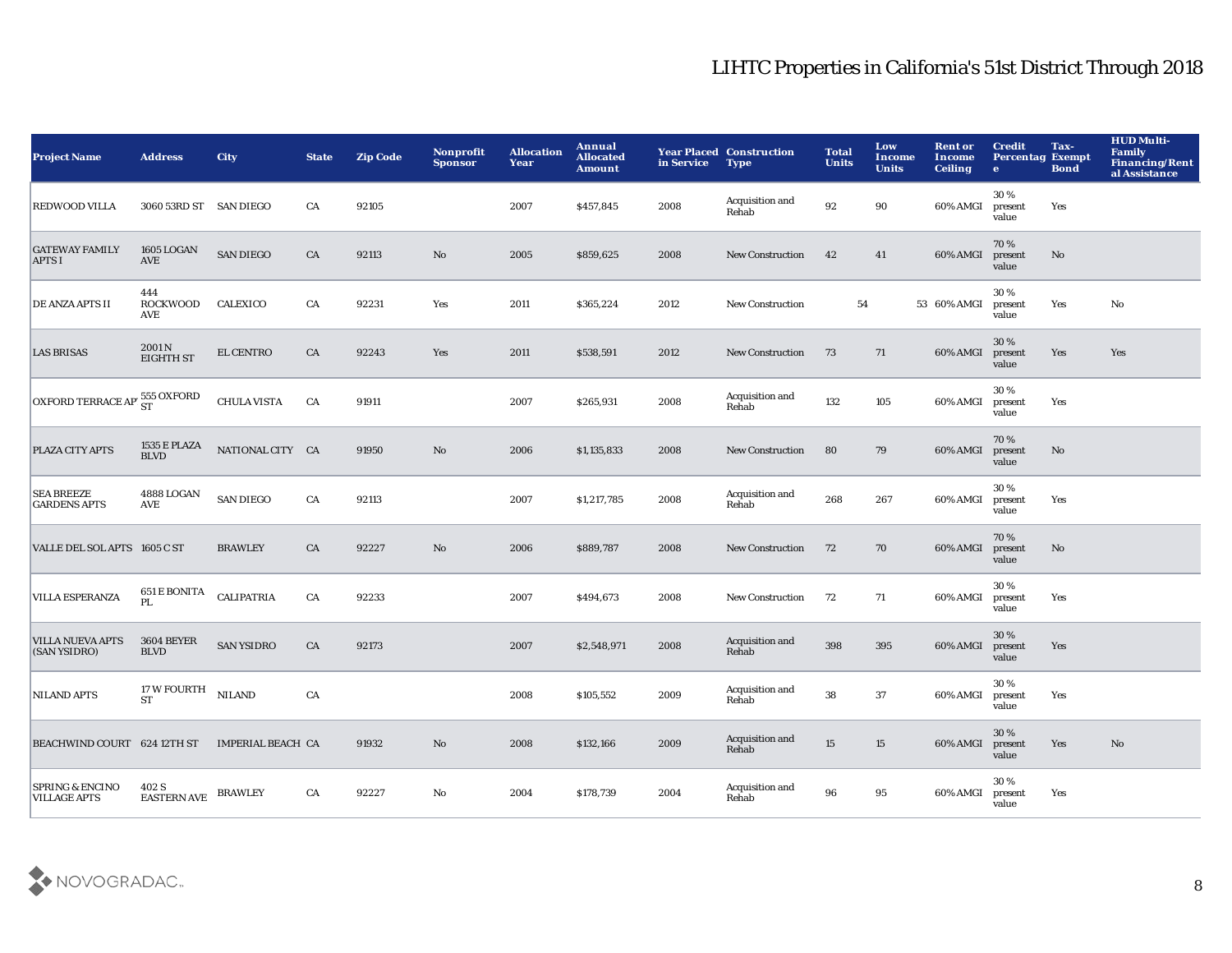| <b>Project Name</b>                                                        | <b>Address</b>                     | <b>City</b>        | <b>State</b> | <b>Zip Code</b> | Nonprofit<br><b>Sponsor</b> | <b>Allocation</b><br>Year | Annual<br><b>Allocated</b><br><b>Amount</b> | in Service | <b>Year Placed Construction</b><br><b>Type</b> | <b>Total</b><br><b>Units</b> | Low<br><b>Income</b><br><b>Units</b> | <b>Rent or</b><br>Income<br><b>Ceiling</b> | <b>Credit</b><br><b>Percentag Exempt</b><br>$\bullet$ | Tax-<br><b>Bond</b>    | <b>HUD Multi-</b><br><b>Family</b><br><b>Financing/Rent</b><br>al Assistance |
|----------------------------------------------------------------------------|------------------------------------|--------------------|--------------|-----------------|-----------------------------|---------------------------|---------------------------------------------|------------|------------------------------------------------|------------------------------|--------------------------------------|--------------------------------------------|-------------------------------------------------------|------------------------|------------------------------------------------------------------------------|
| <b>REDWOOD VILLA</b>                                                       | 3060 53RD ST SAN DIEGO             |                    | CA           | 92105           |                             | 2007                      | \$457,845                                   | 2008       | Acquisition and<br>Rehab                       | 92                           | 90                                   | 60% AMGI                                   | 30 %<br>present<br>value                              | Yes                    |                                                                              |
| <b>GATEWAY FAMILY</b><br><b>APTS I</b>                                     | 1605 LOGAN<br>AVE                  | <b>SAN DIEGO</b>   | ${\rm CA}$   | 92113           | $\mathbf {No}$              | 2005                      | \$859,625                                   | 2008       | New Construction                               | 42                           | 41                                   | 60% AMGI                                   | 70%<br>present<br>value                               | $\mathbf{N}\mathbf{o}$ |                                                                              |
| DE ANZA APTS II                                                            | 444<br><b>ROCKWOOD</b><br>AVE      | CALEXICO           | ${\rm CA}$   | 92231           | Yes                         | 2011                      | \$365,224                                   | 2012       | New Construction                               | 54                           |                                      | 53 60% AMGI                                | 30%<br>present<br>value                               | Yes                    | No                                                                           |
| <b>LAS BRISAS</b>                                                          | 2001 N<br><b>EIGHTH ST</b>         | EL CENTRO          | CA           | 92243           | Yes                         | 2011                      | \$538,591                                   | 2012       | <b>New Construction</b>                        | 73                           | 71                                   | 60% AMGI                                   | 30%<br>present<br>value                               | Yes                    | Yes                                                                          |
| $\boxed{\textbf{OXFORD TERRACE AP}^{\text{555}}_{\text{ST}}\text{OXFORD}}$ |                                    | <b>CHULA VISTA</b> | CA           | 91911           |                             | 2007                      | \$265,931                                   | 2008       | Acquisition and<br>Rehab                       | 132                          | 105                                  | 60% AMGI                                   | 30%<br>present<br>value                               | Yes                    |                                                                              |
| PLAZA CITY APTS                                                            | <b>1535 E PLAZA</b><br><b>BLVD</b> | NATIONAL CITY CA   |              | 91950           | $\rm\thinspace No$          | 2006                      | \$1,135,833                                 | 2008       | New Construction                               | 80                           | 79                                   | 60% AMGI                                   | 70%<br>present<br>value                               | $\mathbf{No}$          |                                                                              |
| <b>SEA BREEZE</b><br><b>GARDENS APTS</b>                                   | 4888 LOGAN<br>AVE                  | <b>SAN DIEGO</b>   | ${\rm CA}$   | 92113           |                             | 2007                      | \$1,217,785                                 | 2008       | Acquisition and<br>Rehab                       | 268                          | 267                                  | 60% AMGI                                   | 30%<br>present<br>value                               | Yes                    |                                                                              |
| VALLE DEL SOL APTS 1605 C ST                                               |                                    | <b>BRAWLEY</b>     | CA           | 92227           | $\mathbf{N}\mathbf{o}$      | 2006                      | \$889,787                                   | 2008       | New Construction                               | 72                           | 70                                   | 60% AMGI                                   | 70%<br>present<br>value                               | No                     |                                                                              |
| <b>VILLA ESPERANZA</b>                                                     | 651 E BONITA<br>PL                 | CALIPATRIA         | ${\rm CA}$   | 92233           |                             | 2007                      | \$494,673                                   | 2008       | <b>New Construction</b>                        | 72                           | 71                                   | 60% AMGI                                   | 30%<br>present<br>value                               | Yes                    |                                                                              |
| <b>VILLA NUEVA APTS</b><br>(SAN YSIDRO)                                    | <b>3604 BEYER</b><br><b>BLVD</b>   | <b>SAN YSIDRO</b>  | CA           | 92173           |                             | 2007                      | \$2,548,971                                 | 2008       | Acquisition and<br>Rehab                       | 398                          | 395                                  | 60% AMGI                                   | 30 %<br>present<br>value                              | Yes                    |                                                                              |
| <b>NILAND APTS</b>                                                         | 17 W FOURTH<br><b>ST</b>           | <b>NILAND</b>      | CA           |                 |                             | 2008                      | \$105,552                                   | 2009       | Acquisition and<br>Rehab                       | 38                           | 37                                   | 60% AMGI                                   | 30%<br>present<br>value                               | Yes                    |                                                                              |
| BEACHWIND COURT 624 12TH ST                                                |                                    | IMPERIAL BEACH CA  |              | 91932           | No                          | 2008                      | \$132,166                                   | 2009       | Acquisition and<br>Rehab                       | 15                           | 15                                   | 60% AMGI                                   | 30 %<br>present<br>value                              | Yes                    | No                                                                           |
| <b>SPRING &amp; ENCINO</b><br><b>VILLAGE APTS</b>                          | 402 S<br><b>EASTERN AVE</b>        | <b>BRAWLEY</b>     | CA           | 92227           | No                          | 2004                      | \$178,739                                   | 2004       | Acquisition and<br>Rehab                       | 96                           | 95                                   | 60% AMGI                                   | 30%<br>present<br>value                               | Yes                    |                                                                              |

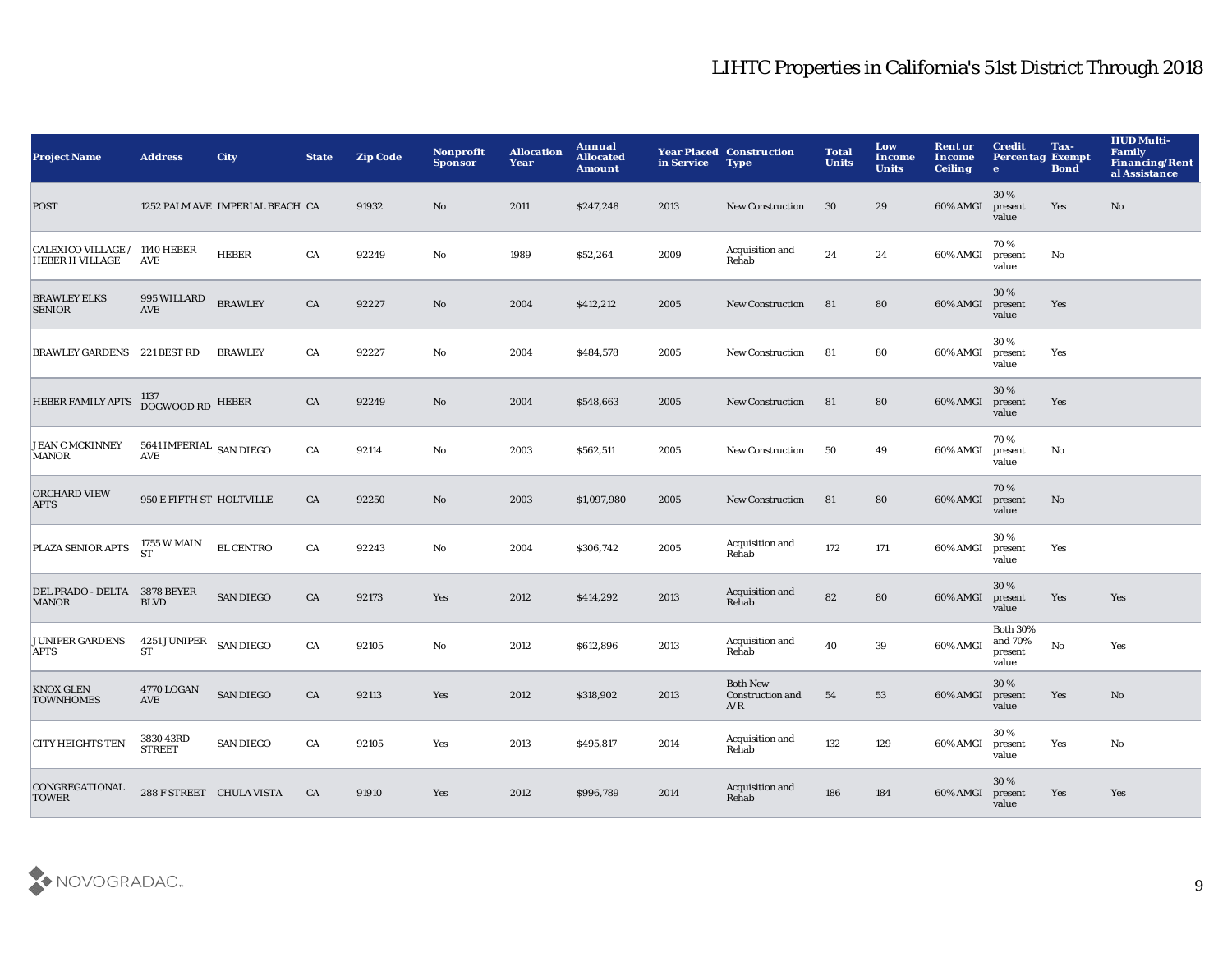| <b>Project Name</b>                                      | <b>Address</b>                                           | <b>City</b>                     | <b>State</b> | <b>Zip Code</b> | Nonprofit<br><b>Sponsor</b> | <b>Allocation</b><br>Year | Annual<br><b>Allocated</b><br><b>Amount</b> | in Service | <b>Year Placed Construction</b><br><b>Type</b> | <b>Total</b><br><b>Units</b> | Low<br>Income<br><b>Units</b> | <b>Rent or</b><br>Income<br><b>Ceiling</b> | <b>Credit</b><br><b>Percentag Exempt</b><br>$\bullet$ | Tax-<br><b>Bond</b> | <b>HUD Multi-</b><br><b>Family</b><br><b>Financing/Rent</b><br>al Assistance |
|----------------------------------------------------------|----------------------------------------------------------|---------------------------------|--------------|-----------------|-----------------------------|---------------------------|---------------------------------------------|------------|------------------------------------------------|------------------------------|-------------------------------|--------------------------------------------|-------------------------------------------------------|---------------------|------------------------------------------------------------------------------|
| <b>POST</b>                                              |                                                          | 1252 PALM AVE IMPERIAL BEACH CA |              | 91932           | No                          | 2011                      | \$247,248                                   | 2013       | <b>New Construction</b>                        | 30                           | 29                            | 60% AMGI                                   | 30%<br>present<br>value                               | Yes                 | No                                                                           |
| CALEXICO VILLAGE / 1140 HEBER<br><b>HEBER II VILLAGE</b> | AVE                                                      | <b>HEBER</b>                    | ${\rm CA}$   | 92249           | $\mathbf{No}$               | 1989                      | \$52,264                                    | 2009       | Acquisition and<br>Rehab                       | 24                           | 24                            | 60% AMGI                                   | 70%<br>present<br>value                               | No                  |                                                                              |
| <b>BRAWLEY ELKS</b><br><b>SENIOR</b>                     | 995 WILLARD<br><b>AVE</b>                                | <b>BRAWLEY</b>                  | CA           | 92227           | $\mathbf {No}$              | 2004                      | \$412,212                                   | 2005       | <b>New Construction</b>                        | 81                           | 80                            | 60% AMGI                                   | 30%<br>present<br>value                               | Yes                 |                                                                              |
| <b>BRAWLEY GARDENS 221 BEST RD</b>                       |                                                          | <b>BRAWLEY</b>                  | CA           | 92227           | No                          | 2004                      | \$484,578                                   | 2005       | <b>New Construction</b>                        | -81                          | 80                            | 60% AMGI                                   | 30%<br>present<br>value                               | Yes                 |                                                                              |
| <b>HEBER FAMILY APTS</b>                                 | 1137<br>DOGWOOD RD HEBER                                 |                                 | CA           | 92249           | No                          | 2004                      | \$548,663                                   | 2005       | <b>New Construction</b>                        | 81                           | 80                            | 60% AMGI                                   | 30%<br>present<br>value                               | Yes                 |                                                                              |
| <b>JEAN C MCKINNEY</b><br><b>MANOR</b>                   | 5641 IMPERIAL SAN DIEGO<br>$\operatorname{\mathbf{AVE}}$ |                                 | ${\rm CA}$   | 92114           | No                          | 2003                      | \$562,511                                   | 2005       | <b>New Construction</b>                        | 50                           | 49                            | 60% AMGI                                   | 70%<br>present<br>value                               | No                  |                                                                              |
| <b>ORCHARD VIEW</b><br><b>APTS</b>                       | 950 E FIFTH ST HOLTVILLE                                 |                                 | CA           | 92250           | No                          | 2003                      | \$1,097,980                                 | 2005       | <b>New Construction</b>                        | 81                           | 80                            | 60% AMGI                                   | 70%<br>present<br>value                               | $\mathbf{No}$       |                                                                              |
| PLAZA SENIOR APTS                                        | 1755 W MAIN<br><b>ST</b>                                 | EL CENTRO                       | ${\rm CA}$   | 92243           | $\mathbf{No}$               | 2004                      | \$306,742                                   | 2005       | Acquisition and<br>Rehab                       | 172                          | 171                           | 60% AMGI                                   | 30%<br>present<br>value                               | Yes                 |                                                                              |
| DEL PRADO - DELTA 3878 BEYER<br><b>MANOR</b>             | <b>BLVD</b>                                              | <b>SAN DIEGO</b>                | CA           | 92173           | Yes                         | 2012                      | \$414,292                                   | 2013       | Acquisition and<br>Rehab                       | 82                           | 80                            | 60% AMGI                                   | 30 %<br>present<br>value                              | Yes                 | Yes                                                                          |
| <b>JUNIPER GARDENS</b><br><b>APTS</b>                    | 4251 JUNIPER<br><b>ST</b>                                | <b>SAN DIEGO</b>                | ${\rm CA}$   | 92105           | No                          | 2012                      | \$612,896                                   | 2013       | Acquisition and<br>Rehab                       | 40                           | 39                            | 60% AMGI                                   | <b>Both 30%</b><br>and 70%<br>present<br>value        | $\mathbf {No}$      | Yes                                                                          |
| <b>KNOX GLEN</b><br><b>TOWNHOMES</b>                     | 4770 LOGAN<br>AVE                                        | <b>SAN DIEGO</b>                | CA           | 92113           | Yes                         | 2012                      | \$318,902                                   | 2013       | <b>Both New</b><br>Construction and<br>A/R     | 54                           | 53                            | 60% AMGI                                   | 30%<br>present<br>value                               | Yes                 | $\mathbf{N}\mathbf{o}$                                                       |
| <b>CITY HEIGHTS TEN</b>                                  | 3830 43RD<br><b>STREET</b>                               | <b>SAN DIEGO</b>                | CA           | 92105           | Yes                         | 2013                      | \$495,817                                   | 2014       | Acquisition and<br>Rehab                       | 132                          | 129                           | 60% AMGI                                   | 30%<br>present<br>value                               | Yes                 | No                                                                           |
| CONGREGATIONAL<br><b>TOWER</b>                           | 288 F STREET CHULA VISTA                                 |                                 | CA           | 91910           | Yes                         | 2012                      | \$996,789                                   | 2014       | Acquisition and<br>Rehab                       | 186                          | 184                           | 60% AMGI                                   | 30 %<br>present<br>value                              | Yes                 | Yes                                                                          |

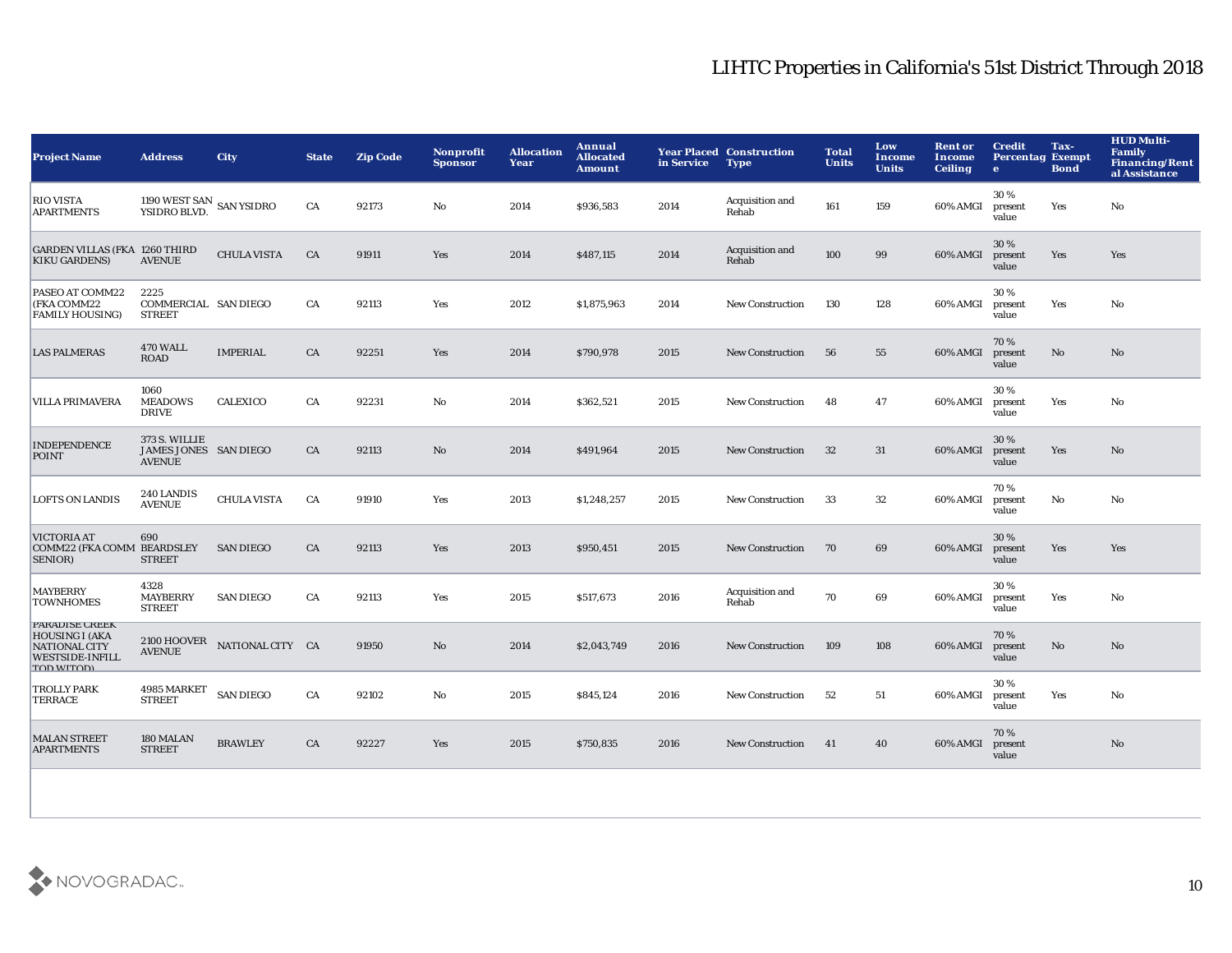| <b>Project Name</b>                                                                                                   | <b>Address</b>                                          | <b>City</b>                  | <b>State</b> | <b>Zip Code</b> | <b>Nonprofit</b><br><b>Sponsor</b> | <b>Allocation</b><br>Year | Annual<br><b>Allocated</b><br><b>Amount</b> | in Service | <b>Year Placed Construction</b><br><b>Type</b> | <b>Total</b><br><b>Units</b> | Low<br><b>Income</b><br><b>Units</b> | <b>Rent or</b><br>Income<br><b>Ceiling</b> | <b>Credit</b><br><b>Percentag Exempt</b><br>$\bullet$ | Tax-<br><b>Bond</b> | <b>HUD Multi-</b><br>Family<br><b>Financing/Rent</b><br>al Assistance |
|-----------------------------------------------------------------------------------------------------------------------|---------------------------------------------------------|------------------------------|--------------|-----------------|------------------------------------|---------------------------|---------------------------------------------|------------|------------------------------------------------|------------------------------|--------------------------------------|--------------------------------------------|-------------------------------------------------------|---------------------|-----------------------------------------------------------------------|
| <b>RIO VISTA</b><br><b>APARTMENTS</b>                                                                                 | 1190 WEST SAN<br>YSIDRO BLVD. SAN YSIDRO                |                              | CA           | 92173           | No                                 | 2014                      | \$936,583                                   | 2014       | Acquisition and<br>Rehab                       | 161                          | 159                                  | 60% AMGI                                   | 30%<br>present<br>value                               | Yes                 | No                                                                    |
| <b>GARDEN VILLAS (FKA 1260 THIRD</b><br><b>KIKU GARDENS)</b>                                                          | <b>AVENUE</b>                                           | <b>CHULA VISTA</b>           | CA           | 91911           | Yes                                | 2014                      | \$487,115                                   | 2014       | Acquisition and<br>Rehab                       | 100                          | 99                                   | 60% AMGI                                   | 30%<br>present<br>value                               | Yes                 | Yes                                                                   |
| PASEO AT COMM22<br>(FKA COMM22<br><b>FAMILY HOUSING)</b>                                                              | 2225<br>COMMERCIAL SAN DIEGO<br><b>STREET</b>           |                              | CA           | 92113           | Yes                                | 2012                      | \$1,875,963                                 | 2014       | <b>New Construction</b>                        | 130                          | 128                                  | 60% AMGI                                   | 30%<br>present<br>value                               | Yes                 | No                                                                    |
| <b>LAS PALMERAS</b>                                                                                                   | <b>470 WALL</b><br><b>ROAD</b>                          | <b>IMPERIAL</b>              | CA           | 92251           | Yes                                | 2014                      | \$790,978                                   | 2015       | <b>New Construction</b>                        | 56                           | 55                                   | 60% AMGI                                   | 70%<br>present<br>value                               | No                  | No                                                                    |
| <b>VILLA PRIMAVERA</b>                                                                                                | 1060<br><b>MEADOWS</b><br><b>DRIVE</b>                  | <b>CALEXICO</b>              | CA           | 92231           | No                                 | 2014                      | \$362,521                                   | 2015       | New Construction                               | 48                           | 47                                   | 60% AMGI                                   | 30%<br>present<br>value                               | Yes                 | No                                                                    |
| <b>INDEPENDENCE</b><br><b>POINT</b>                                                                                   | 373 S. WILLIE<br>JAMES JONES SAN DIEGO<br><b>AVENUE</b> |                              | CA           | 92113           | No                                 | 2014                      | \$491,964                                   | 2015       | <b>New Construction</b>                        | 32                           | 31                                   | 60% AMGI                                   | 30%<br>present<br>value                               | Yes                 | No                                                                    |
| <b>LOFTS ON LANDIS</b>                                                                                                | 240 LANDIS<br><b>AVENUE</b>                             | <b>CHULA VISTA</b>           | CA           | 91910           | Yes                                | 2013                      | \$1,248,257                                 | 2015       | <b>New Construction</b>                        | 33                           | 32                                   | 60% AMGI                                   | 70%<br>present<br>value                               | No                  | No                                                                    |
| <b>VICTORIA AT</b><br>COMM22 (FKA COMM BEARDSLEY<br>SENIOR)                                                           | 690<br><b>STREET</b>                                    | <b>SAN DIEGO</b>             | CA           | 92113           | Yes                                | 2013                      | \$950,451                                   | 2015       | <b>New Construction</b>                        | 70                           | 69                                   | 60% AMGI                                   | 30 %<br>present<br>value                              | Yes                 | Yes                                                                   |
| <b>MAYBERRY</b><br><b>TOWNHOMES</b>                                                                                   | 4328<br><b>MAYBERRY</b><br><b>STREET</b>                | <b>SAN DIEGO</b>             | CA           | 92113           | Yes                                | 2015                      | \$517,673                                   | 2016       | Acquisition and<br>Rehab                       | 70                           | 69                                   | 60% AMGI                                   | 30%<br>present<br>value                               | Yes                 | No                                                                    |
| <b>PARADISE CREEK</b><br><b>HOUSING I (AKA</b><br><b>NATIONAL CITY</b><br><b>WESTSIDE-INFILL</b><br><b>TOD WITOD)</b> | <b>AVENUE</b>                                           | 2100 HOOVER NATIONAL CITY CA |              | 91950           | $\mathbf{N}\mathbf{o}$             | 2014                      | \$2,043,749                                 | 2016       | <b>New Construction</b>                        | 109                          | 108                                  | 60% AMGI                                   | 70%<br>present<br>value                               | No                  | No                                                                    |
| <b>TROLLY PARK</b><br><b>TERRACE</b>                                                                                  | 4985 MARKET SAN DIEGO<br><b>STREET</b>                  |                              | CA           | 92102           | No                                 | 2015                      | \$845,124                                   | 2016       | <b>New Construction</b>                        | 52                           | 51                                   | 60% AMGI                                   | 30%<br>present<br>value                               | Yes                 | No                                                                    |
| <b>MALAN STREET</b><br><b>APARTMENTS</b>                                                                              | 180 MALAN<br><b>STREET</b>                              | <b>BRAWLEY</b>               | CA           | 92227           | Yes                                | 2015                      | \$750,835                                   | 2016       | <b>New Construction</b>                        | 41                           | 40                                   | 60% AMGI                                   | 70%<br>present<br>value                               |                     | No                                                                    |
|                                                                                                                       |                                                         |                              |              |                 |                                    |                           |                                             |            |                                                |                              |                                      |                                            |                                                       |                     |                                                                       |